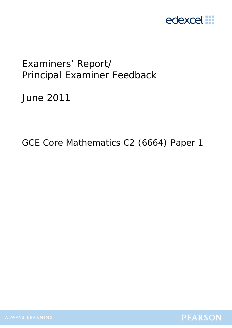

# Examiners' Report/ Principal Examiner Feedback

June 2011

GCE Core Mathematics C2 (6664) Paper 1

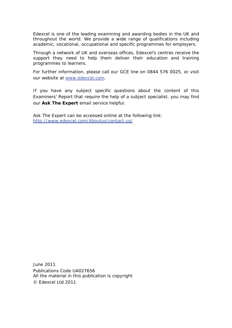Edexcel is one of the leading examining and awarding bodies in the UK and throughout the world. We provide a wide range of qualifications including academic, vocational, occupational and specific programmes for employers.

Through a network of UK and overseas offices, Edexcel's centres receive the support they need to help them deliver their education and training programmes to learners.

For further information, please call our GCE line on 0844 576 0025, or visit our website at www.edexcel.com.

If you have any subject specific questions about the content of this Examiners' Report that require the help of a subject specialist, you may find our **Ask The Expert** email service helpful.

Ask The Expert can be accessed online at the following link: http://www.edexcel.com/Aboutus/contact-us/

June 2011 Publications Code UA027656 All the material in this publication is copyright © Edexcel Ltd 2011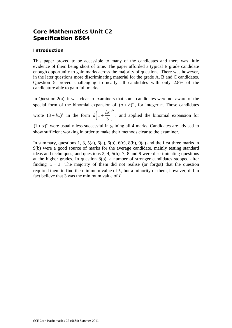# **Core Mathematics Unit C2 Specification 6664**

## **Introduction**

This paper proved to be accessible to many of the candidates and there was little evidence of them being short of time. The paper afforded a typical E grade candidate enough opportunity to gain marks across the majority of questions. There was however, in the later questions more discriminating material for the grade A, B and C candidates. Question 5 proved challenging to nearly all candidates with only 2.8% of the candidature able to gain full marks.

In Question 2(a), it was clear to examiners that some candidates were not aware of the special form of the binomial expansion of  $(a + b)^n$ , for integer *n*. Those candidates wrote  $(3 + bx)^5$  in the form 5  $k\left(1+\frac{bx}{3}\right)^3$ , and applied the binomial expansion for  $(1 + x)^n$  were usually less successful in gaining all 4 marks. Candidates are advised to show sufficient working in order to make their methods clear to the examiner.

In summary, questions 1, 3, 5(a), 6(a), 6(b), 6(c), 8(b), 9(a) and the first three marks in 9(b) were a good source of marks for the average candidate, mainly testing standard ideas and techniques; and questions 2, 4, 5(b), 7, 8 and 9 were discriminating questions at the higher grades. In question 8(b), a number of stronger candidates stopped after finding  $x = 3$ . The majority of them did not realise (or forgot) that the question required them to find the minimum value of *L*, but a minority of them, however, did in fact believe that 3 was the minimum value of *L*.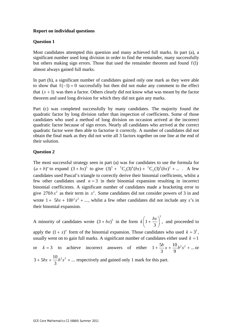#### **Report on individual questions**

#### **Question 1**

Most candidates attempted this question and many achieved full marks. In part (a), a significant number used long division in order to find the remainder, many successfully but others making sign errors. Those that used the remainder theorem and found  $f(1)$ almost always gained full marks.

In part (b), a significant number of candidates gained only one mark as they were able to show that  $f(-1) = 0$  successfully but then did not make any comment to the effect that  $(x + 1)$  was then a factor. Others clearly did not know what was meant by the factor theorem and used long division for which they did not gain any marks.

Part (c) was completed successfully by many candidates. The majority found the quadratic factor by long division rather than inspection of coefficients. Some of those candidates who used a method of long division on occasion arrived at the incorrect quadratic factor because of sign errors. Nearly all candidates who arrived at the correct quadratic factor were then able to factorise it correctly. A number of candidates did not obtain the final mark as they did not write all 3 factors together on one line at the end of their solution.

#### **Question 2**

The most successful strategy seen in part (a) was for candidates to use the formula for  $(a + b)^n$  to expand  $(3 + bx)^5$  to give  $(3)^5 + {^5C_1}(3)^4(bx) + {^5C_2}(3)^3(bx)^2 + ...$  A few candidates used Pascal's triangle to correctly derive their binomial coefficients, whilst a few other candidates used  $n = 3$  in their binomial expansion resulting in incorrect binomial coefficients. A significant number of candidates made a bracketing error to give  $270bx^2$  as their term in  $x^2$ . Some candidates did not consider powers of 3 in and wrote  $1 + 5bx + 10b^2x^2 + ...$ , whilst a few other candidates did not include any *x*'s in their binomial expansion.

A minority of candidates wrote  $(3 + bx)^5$  in the form 5  $k\left(1+\frac{bx}{3}\right)^3$ , and proceeded to

apply the  $(1 + x)^n$  form of the binomial expansion. Those candidates who used  $k = 3^5$ , usually went on to gain full marks. A significant number of candidates either used  $k = 1$ 

or 
$$
k = 3
$$
 to achieve incorrect answers of either  $1 + \frac{5b}{3}x + \frac{10}{9}b^2x^2 + ...$  or   
  $3 + 5bx + \frac{10}{3}b^2x^2 + ...$  respectively and gained only 1 mark for this part.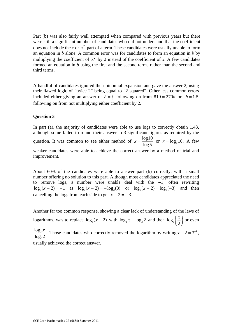Part (b) was also fairly well attempted when compared with previous years but there were still a significant number of candidates who did not understand that the coefficient does not include the *x* or  $x^2$  part of a term. These candidates were usually unable to form an equation in *b* alone. A common error was for candidates to form an equation in *b* by multiplying the coefficient of  $x^2$  by 2 instead of the coefficient of x. A few candidates formed an equation in *b* using the first and the second terms rather than the second and third terms.

A handful of candidates ignored their binomial expansion and gave the answer 2, using their flawed logic of "twice 2" being equal to "2 squared". Other less common errors included either giving an answer of  $b = \frac{1}{3}$  following on from  $810 = 270b$  or  $b = 1.5$ following on from not multiplying either coefficient by 2.

#### **Question 3**

In part (a), the majority of candidates were able to use logs to correctly obtain 1.43, although some failed to round their answer to 3 significant figures as required by the question. It was common to see either method of  $x = \frac{\log 10}{100}$  $x = \frac{\log 10}{\log 5}$  or  $x = \log_5 10$ . A few weaker candidates were able to achieve the correct answer by a method of trial and improvement.

About 60% of the candidates were able to answer part (b) correctly, with a small number offering no solution to this part. Although most candidates appreciated the need to remove logs, a number were unable deal with the −1, often rewriting  $\log_3(x-2) = -1$  as  $\log_3(x-2) = -\log_3(3)$  or  $\log_3(x-2) = \log_3(-3)$  and then cancelling the logs from each side to get  $x - 2 = -3$ .

Another far too common response, showing a clear lack of understanding of the laws of logarithms, was to replace  $\log_3(x-2)$  with  $\log_3 x - \log_3 2$  and then  $\log_3 \left(\frac{x}{2}\right)$  or even

3  $\frac{\log_3 x}{\log_3 2}$ . Those candidates who correctly removed the logarithm by writing  $x - 2 = 3^{-1}$ ,

usually achieved the correct answer.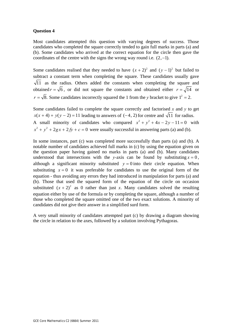Most candidates attempted this question with varying degrees of success. Those candidates who completed the square correctly tended to gain full marks in parts (a) and (b). Some candidates who arrived at the correct equation for the circle then gave the coordinates of the centre with the signs the wrong way round i.e.  $(2, -1)$ .

Some candidates realised that they needed to have  $(x + 2)^2$  and  $(y - 1)^2$  but failed to subtract a constant term when completing the square. These candidates usually gave  $\sqrt{11}$  as the radius. Others added the constants when completing the square and obtained  $r = \sqrt{6}$ , or did not square the constants and obtained either  $r = \sqrt{14}$  or  $r = \sqrt{8}$ . Some candidates incorrectly squared the 1 from the *y* bracket to give  $1^2 = 2$ .

Some candidates failed to complete the square correctly and factorised *x* and *y* to get  $x(x + 4) + y(y - 2) = 11$  leading to answers of (-4, 2) for centre and  $\sqrt{11}$  for radius. A small minority of candidates who compared  $x^2 + y^2 + 4x - 2y - 11 = 0$  with  $x^{2} + y^{2} + 2gx + 2fy + c = 0$  were usually successful in answering parts (a) and (b).

In some instances, part (c) was completed more successfully than parts (a) and (b). A notable number of candidates achieved full marks in (c) by using the equation given on the question paper having gained no marks in parts (a) and (b). Many candidates understood that intersections with the *y*-axis can be found by substituting  $x = 0$ , although a significant minority substituted  $y = 0$  into their circle equation. When substituting  $x = 0$  it was preferable for candidates to use the original form of the equation - thus avoiding any errors they had introduced in manipulation for parts (a) and (b). Those that used the squared form of the equation of the circle on occasion substituted  $(x + 2)^2$  as 0 rather than just *x*. Many candidates solved the resulting equation either by use of the formula or by completing the square, although a number of those who completed the square omitted one of the two exact solutions. A minority of candidates did not give their answer in a simplified surd form.

A very small minority of candidates attempted part (c) by drawing a diagram showing the circle in relation to the axes, followed by a solution involving Pythagoras.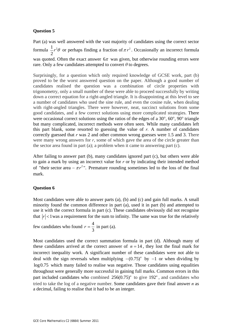Part (a) was well answered with the vast majority of candidates using the correct sector formula  $\frac{1}{2}r^2$ 2  $r^2\theta$  or perhaps finding a fraction of  $\pi r^2$ . Occasionally an incorrect formula was quoted. Often the exact answer  $6\pi$  was given, but otherwise rounding errors were rare. Only a few candidates attempted to convert  $\theta$  to degrees.

Surprisingly, for a question which only required knowledge of GCSE work, part (b) proved to be the worst answered question on the paper. Although a good number of candidates realised the question was a combination of circle properties with trigonometry, only a small number of these were able to proceed successfully by writing down a correct equation for a right-angled triangle. It is disappointing at this level to see a number of candidates who used the sine rule, and even the cosine rule, when dealing with right-angled triangles. There were however, neat, succinct solutions from some good candidates, and a few correct solutions using more complicated strategies. There were occasional correct solutions using the ratios of the edges of a  $30^{\circ}$ ,  $60^{\circ}$ ,  $90^{\circ}$  triangle but many complicated, incorrect methods were often seen. While many candidates left this part blank, some resorted to guessing the value of  $r$ . A number of candidates correctly guessed that *r* was 2 and other common wrong guesses were 1.5 and 3. There were many wrong answers for *r*, some of which gave the area of the circle greater than the sector area found in part (a); a problem when it came to answering part (c).

After failing to answer part (b), many candidates ignored part (c), but others were able to gain a mark by using an incorrect value for *r* or by indicating their intended method of "their sector area  $-\pi r^2$ ". Premature rounding sometimes led to the loss of the final mark.

### **Question 6**

Most candidates were able to answer parts (a), (b) and (c) and gain full marks. A small minority found the common difference in part (a), used it in part (b) and attempted to use it with the correct formula in part (c). These candidates obviously did not recognise that  $|r| < 1$  was a requirement for the sum to infinity. The same was true for the relatively

few candidates who found  $r = \frac{4}{3}$ 3  $r = \frac{1}{2}$  in part (a).

Most candidates used the correct summation formula in part (d). Although many of these candidates arrived at the correct answer of  $n = 14$ , they lost the final mark for incorrect inequality work. A significant number of these candidates were not able to deal with the sign reversals when multiplying  $-(0.75)^n$  by  $-1$  or when dividing by log0.75 which many failed to realise was negative. Those candidates using equalities throughout were generally more successful in gaining full marks. Common errors in this part included candidates who combined  $256(0.75)^n$  to give  $192^n$ , and candidates who tried to take the log of a negative number. Some candidates gave their final answer *n* as a decimal, failing to realise that it had to be an integer.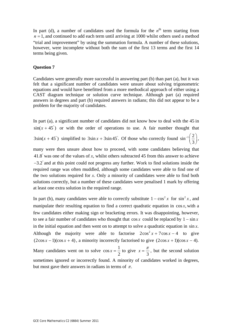In part (d), a number of candidates used the formula for the  $n<sup>th</sup>$  term starting from  $n = 1$ , and continued to add each term until arriving at 1000 whilst others used a method "trial and improvement" by using the summation formula. A number of these solutions, however, were incomplete without both the sum of the first 13 terms and the first 14 terms being given.

#### **Question 7**

Candidates were generally more successful in answering part (b) than part (a), but it was felt that a significant number of candidates were unsure about solving trigonometric equations and would have benefitted from a more methodical approach of either using a CAST diagram technique or solution curve technique. Although part (a) required answers in degrees and part (b) required answers in radians; this did not appear to be a problem for the majority of candidates.

In part (a), a significant number of candidates did not know how to deal with the 45 in  $sin(x + 45^\circ)$  or with the order of operations to use. A fair number thought that  $3\sin(x+45^\circ)$  simplified to  $3\sin x + 3\sin 45^\circ$ . Of those who correctly found  $\sin^{-1}\left(\frac{2}{\epsilon}\right)$  $\frac{-1}{3}$ , many were then unsure about how to proceed, with some candidates believing that 41.8° was one of the values of *x*, whilst others subtracted 45 from this answer to achieve  $-3.2$ ° and at this point could not progress any further. Work to find solutions inside the required range was often muddled, although some candidates were able to find one of the two solutions required for *x*. Only a minority of candidates were able to find both solutions correctly, but a number of these candidates were penalised 1 mark by offering

In part (b), many candidates were able to correctly substitute  $1 - \cos^2 x$  for  $\sin^2 x$ , and manipulate their resulting equation to find a correct quadratic equation in  $\cos x$ , with a few candidates either making sign or bracketing errors. It was disappointing, however, to see a fair number of candidates who thought that  $\cos x$  could be replaced by  $1 - \sin x$ in the initial equation and then went on to attempt to solve a quadratic equation in  $\sin x$ . Although the majority were able to factorise  $2\cos^2 x + 7\cos x - 4$  to give  $(2\cos x - 1)(\cos x + 4)$ , a minority incorrectly factorised to give  $(2\cos x + 1)(\cos x - 4)$ . Many candidates went on to solve  $\cos x = \frac{1}{2}$  $x = \frac{1}{2}$  to give  $x = \frac{\pi}{3}$ , but the second solution sometimes ignored or incorrectly found. A minority of candidates worked in degrees, but most gave their answers in radians in terms of  $\pi$ .

at least one extra solution in the required range.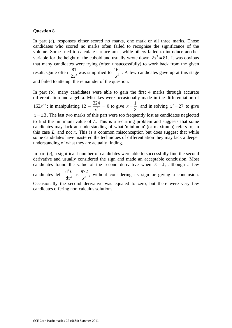In part (a), responses either scored no marks, one mark or all three marks. Those candidates who scored no marks often failed to recognise the significance of the volume. Some tried to calculate surface area, while others failed to introduce another variable for the height of the cuboid and usually wrote down  $2x^3 = 81$ . It was obvious that many candidates were trying (often unsuccessfully) to work back from the given result. Quite often  $\frac{81}{2x^2}$  $\frac{81}{2x^2}$  was simplified to  $\frac{162}{x^2}$ *x* . A few candidates gave up at this stage and failed to attempt the remainder of the question.

In part (b), many candidates were able to gain the first 4 marks through accurate differentiation and algebra. Mistakes were occasionally made in the differentiation of 162 $x^{-2}$ ; in manipulating 12 –  $\frac{324}{x^3}$  = 0 to give  $x = \frac{1}{3}$  $x = \frac{1}{2}$ ; and in solving  $x^3 = 27$  to give  $x = \pm 3$ . The last two marks of this part were too frequently lost as candidates neglected to find the minimum value of *L*. This is a recurring problem and suggests that some candidates may lack an understanding of what 'minimum' (or maximum) refers to; in this case *L*, and not *x*. This is a common misconception but does suggest that while some candidates have mastered the techniques of differentiation they may lack a deeper understanding of what they are actually finding.

In part (c), a significant number of candidates were able to successfully find the second derivative and usually considered the sign and made an acceptable conclusion. Most candidates found the value of the second derivative when  $x = 3$ , although a few candidates left 2 2  $\omega$   $\omega$  $\frac{d^2L}{dt^2}$  as  $\frac{972}{4}$ d *L*  $x^2$  *x* , without considering its sign or giving a conclusion. Occasionally the second derivative was equated to zero, but there were very few candidates offering non-calculus solutions.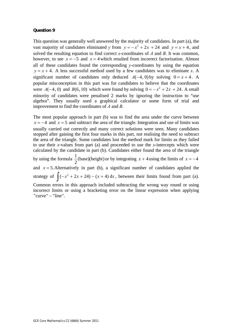This question was generally well answered by the majority of candidates. In part (a), the vast majority of candidates eliminated *y* from  $y = -x^2 + 2x + 24$  and  $y = x + 4$ , and solved the resulting equation to find correct *x*-coordinates of *A* and *B*. It was common, however, to see  $x = -5$  and  $x = 4$  which resulted from incorrect factorisation. Almost all of these candidates found the corresponding *y*-coordinates by using the equation  $y = x + 4$ . A less successful method used by a few candidates was to eliminate *x*. A significant number of candidates only deduced  $A(-4, 0)$  by solving  $0 = x + 4$ . A popular misconception in this part was for candidates to believe that the coordinates were  $A(-4, 0)$  and  $B(6, 10)$  which were found by solving  $0 = -x^2 + 2x + 24$ . A small minority of candidates were penalised 2 marks by ignoring the instruction to "use algebra". They usually used a graphical calculator or some form of trial and improvement to find the coordinates of *A* and *B*.

The most popular approach in part (b) was to find the area under the curve between  $x = -4$  and  $x = 5$  and subtract the area of the triangle. Integration and use of limits was usually carried out correctly and many correct solutions were seen. Many candidates stopped after gaining the first four marks in this part, not realising the need to subtract the area of the triangle. Some candidates lost the method mark for limits as they failed to use their *x*-values from part (a) and proceeded to use the *x*-intercepts which were calculated by the candidate in part (b). Candidates either found the area of the triangle by using the formula  $\frac{1}{2}$ (base)(height) or by integrating  $x + 4$  using the limits of  $x = -4$ and  $x = 5$ . Alternatively in part (b), a significant number of candidates applied the strategy of  $\int (-x^2 + 2x + 24) - (x + 4) dx$ , between their limits found from part (a). Common errors in this approach included subtracting the wrong way round or using incorrect limits or using a bracketing error on the linear expression when applying  $"curve" - "line".$